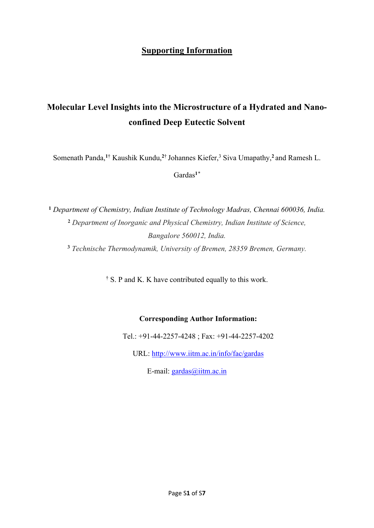## **Supporting Information**

## **Molecular Level Insights into the Microstructure of a Hydrated and Nanoconfined Deep Eutectic Solvent**

Somenath Panda,<sup>1†</sup> Kaushik Kundu,<sup>2†</sup> Johannes Kiefer,<sup>3</sup> Siva Umapathy,<sup>2</sup> and Ramesh L.

Gardas**<sup>1</sup>***\**

 *Department of Chemistry, Indian Institute of Technology Madras, Chennai 600036, India. Department of Inorganic and Physical Chemistry, Indian Institute of Science, Bangalore 560012, India. Technische Thermodynamik, University of Bremen, 28359 Bremen, Germany.*

<sup>†</sup> S. P and K. K have contributed equally to this work.

## **Corresponding Author Information:**

Tel.: +91-44-2257-4248 ; Fax: +91-44-2257-4202

URL: <http://www.iitm.ac.in/info/fac/gardas>

E-mail: [gardas@iitm.ac.in](mailto:gardas@iitm.ac.in)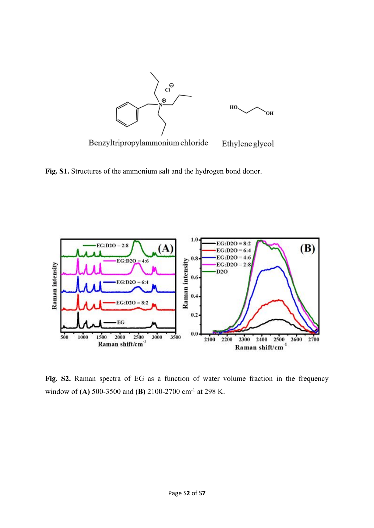

**Fig. S1.** Structures of the ammonium salt and the hydrogen bond donor.



**Fig. S2.** Raman spectra of EG as a function of water volume fraction in the frequency window of **(A)** 500-3500 and **(B)** 2100-2700 cm-1 at 298 K.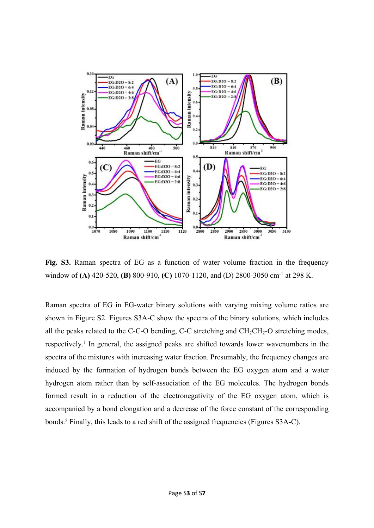

**Fig. S3.** Raman spectra of EG as a function of water volume fraction in the frequency window of **(A)** 420-520, **(B)** 800-910, **(C)** 1070-1120, and (D) 2800-3050 cm-1 at 298 K.

Raman spectra of EG in EG-water binary solutions with varying mixing volume ratios are shown in Figure S2. Figures S3A-C show the spectra of the binary solutions, which includes all the peaks related to the C-C-O bending, C-C stretching and  $CH_2CH_2-O$  stretching modes, respectively.<sup>1</sup> In general, the assigned peaks are shifted towards lower wavenumbers in the spectra of the mixtures with increasing water fraction. Presumably, the frequency changes are induced by the formation of hydrogen bonds between the EG oxygen atom and a water hydrogen atom rather than by self-association of the EG molecules. The hydrogen bonds formed result in a reduction of the electronegativity of the EG oxygen atom, which is accompanied by a bond elongation and a decrease of the force constant of the corresponding bonds.<sup>2</sup> Finally, this leads to a red shift of the assigned frequencies (Figures S3A-C).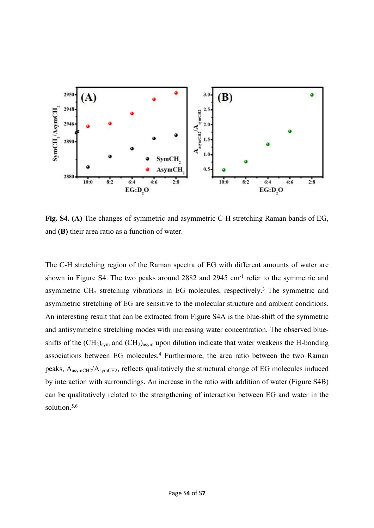

**Fig. S4. (A)** The changes of symmetric and asymmetric C-H stretching Raman bands of EG, and **(B)** their area ratio as a function of water.

The C-H stretching region of the Raman spectra of EG with different amounts of water are shown in Figure S4. The two peaks around 2882 and 2945 cm-1 refer to the symmetric and asymmetric  $CH<sub>2</sub>$  stretching vibrations in EG molecules, respectively.<sup>3</sup> The symmetric and asymmetric stretching of EG are sensitive to the molecular structure and ambient conditions. An interesting result that can be extracted from Figure S4A is the blue-shift of the symmetric and antisymmetric stretching modes with increasing water concentration. The observed blueshifts of the  $(CH_2)_{sym}$  and  $(CH_2)_{asym}$  upon dilution indicate that water weakens the H-bonding associations between EG molecules.<sup>4</sup> Furthermore, the area ratio between the two Raman peaks, AasymCH2/AsymCH2, reflects qualitatively the structural change of EG molecules induced by interaction with surroundings. An increase in the ratio with addition of water (Figure S4B) can be qualitatively related to the strengthening of interaction between EG and water in the solution.<sup>5,6</sup>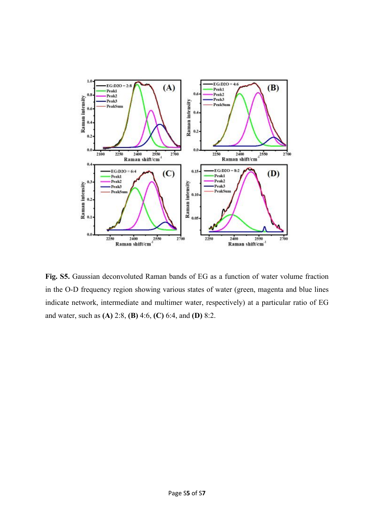

**Fig. S5.** Gaussian deconvoluted Raman bands of EG as a function of water volume fraction in the O-D frequency region showing various states of water (green, magenta and blue lines indicate network, intermediate and multimer water, respectively) at a particular ratio of EG and water, such as **(A)** 2:8, **(B)** 4:6, **(C)** 6:4, and **(D)** 8:2.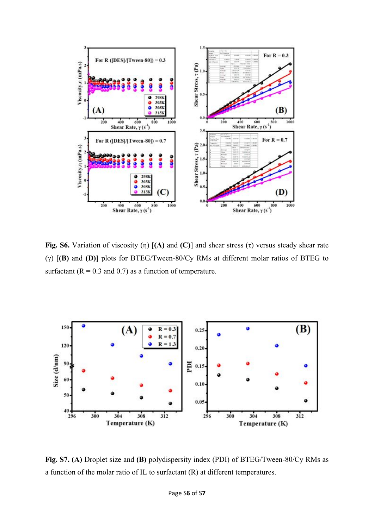

**Fig. S6.** Variation of viscosity (η) [**(A)** and **(C)**] and shear stress (τ) versus steady shear rate (γ) [**(B)** and **(D)]** plots for BTEG/Tween-80/Cy RMs at different molar ratios of BTEG to surfactant ( $R = 0.3$  and 0.7) as a function of temperature.



**Fig. S7. (A)** Droplet size and **(B)** polydispersity index (PDI) of BTEG/Tween-80/Cy RMs as a function of the molar ratio of IL to surfactant (R) at different temperatures.